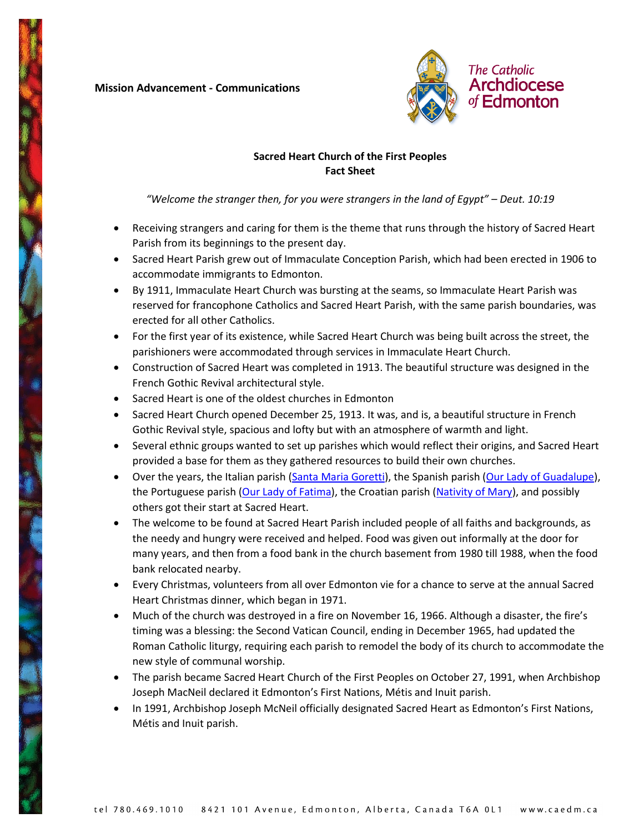## **Mission Advancement - Communications**



## **Sacred Heart Church of the First Peoples Fact Sheet**

*"Welcome the stranger then, for you were strangers in the land of Egypt" – Deut. 10:19*

- Receiving strangers and caring for them is the theme that runs through the history of Sacred Heart Parish from its beginnings to the present day.
- Sacred Heart Parish grew out of Immaculate Conception Parish, which had been erected in 1906 to accommodate immigrants to Edmonton.
- By 1911, Immaculate Heart Church was bursting at the seams, so Immaculate Heart Parish was reserved for francophone Catholics and Sacred Heart Parish, with the same parish boundaries, was erected for all other Catholics.
- For the first year of its existence, while Sacred Heart Church was being built across the street, the parishioners were accommodated through services in Immaculate Heart Church.
- Construction of Sacred Heart was completed in 1913. The beautiful structure was designed in the French Gothic Revival architectural style.
- Sacred Heart is one of the oldest churches in Edmonton
- Sacred Heart Church opened December 25, 1913. It was, and is, a beautiful structure in French Gothic Revival style, spacious and lofty but with an atmosphere of warmth and light.
- Several ethnic groups wanted to set up parishes which would reflect their origins, and Sacred Heart provided a base for them as they gathered resources to build their own churches.
- Over the years, the Italian parish [\(Santa Maria Goretti\)](https://caedm.ca/ParishesMassTimes/SantaMariaGorettiItalian), the Spanish parish [\(Our Lady of Guadalupe\)](https://caedm.ca/ParishesMassTimes/OurLadyofGuadalupeSpanish), the Portuguese parish [\(Our Lady of Fatima\)](https://caedm.ca/ParishesMassTimes/OurLadyofFatimaPortuguese), the Croatian parish [\(Nativity of Mary\)](https://caedm.ca/ParishesMassTimes/NativityofMaryCroatian), and possibly others got their start at Sacred Heart.
- The welcome to be found at Sacred Heart Parish included people of all faiths and backgrounds, as the needy and hungry were received and helped. Food was given out informally at the door for many years, and then from a food bank in the church basement from 1980 till 1988, when the food bank relocated nearby.
- Every Christmas, volunteers from all over Edmonton vie for a chance to serve at the annual Sacred Heart Christmas dinner, which began in 1971.
- Much of the church was destroyed in a fire on November 16, 1966. Although a disaster, the fire's timing was a blessing: the Second Vatican Council, ending in December 1965, had updated the Roman Catholic liturgy, requiring each parish to remodel the body of its church to accommodate the new style of communal worship.
- The parish became Sacred Heart Church of the First Peoples on October 27, 1991, when Archbishop Joseph MacNeil declared it Edmonton's First Nations, Métis and Inuit parish.
- In 1991, Archbishop Joseph McNeil officially designated Sacred Heart as Edmonton's First Nations, Métis and Inuit parish.